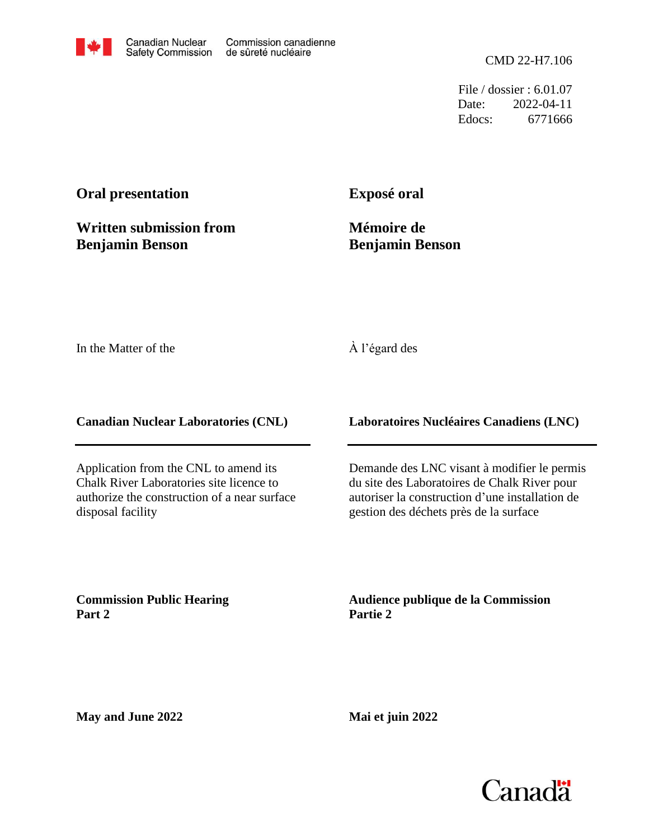File / dossier : 6.01.07 Date: 2022-04-11 Edocs: 6771666

## **Oral presentation**

**Written submission from Benjamin Benson**

**Exposé oral**

**Mémoire de Benjamin Benson**

In the Matter of the

## À l'égard des

**Canadian Nuclear Laboratories (CNL)**

Application from the CNL to amend its Chalk River Laboratories site licence to authorize the construction of a near surface disposal facility

**Laboratoires Nucléaires Canadiens (LNC)**

Demande des LNC visant à modifier le permis du site des Laboratoires de Chalk River pour autoriser la construction d'une installation de gestion des déchets près de la surface

**Commission Public Hearing Part 2**

**Audience publique de la Commission Partie 2**

**May and June 2022**

**Mai et juin 2022**